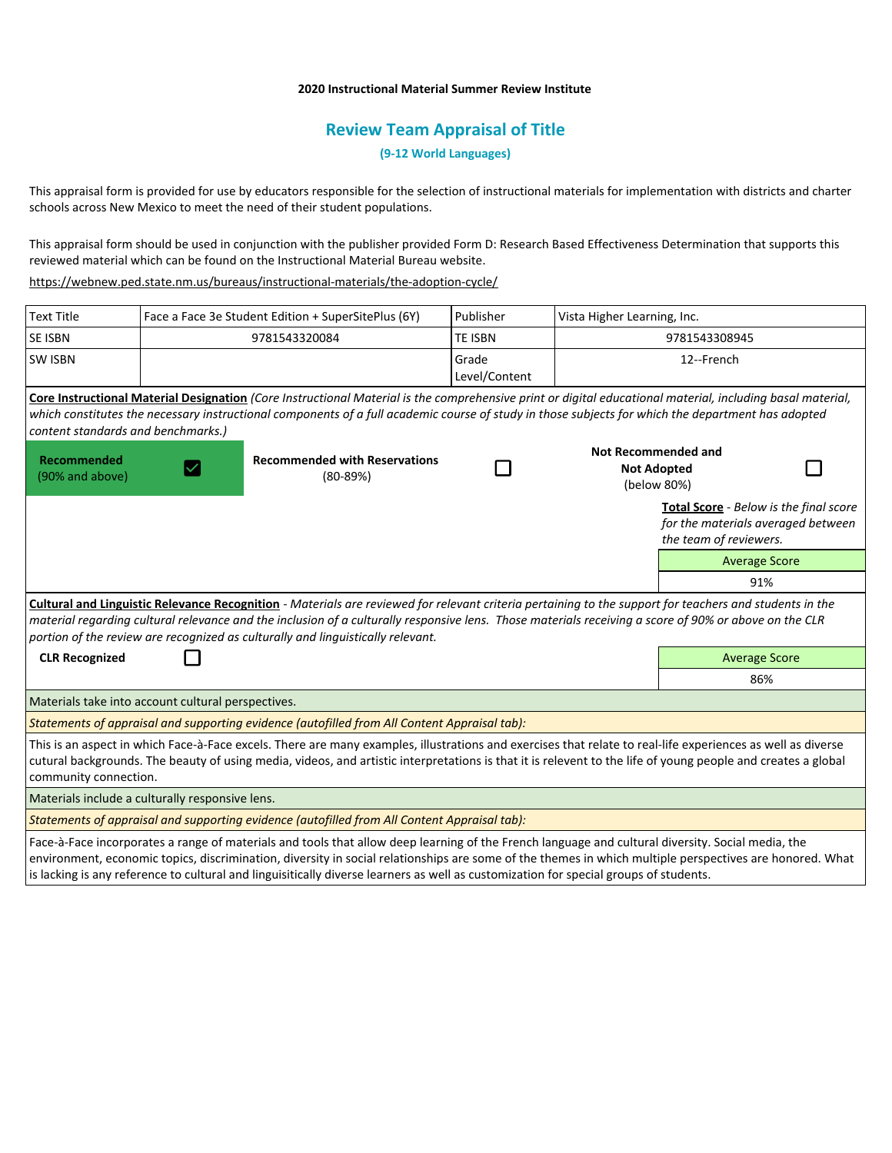## **2020 Instructional Material Summer Review Institute**

## **Review Team Appraisal of Title**

**(9-12 World Languages)**

This appraisal form is provided for use by educators responsible for the selection of instructional materials for implementation with districts and charter schools across New Mexico to meet the need of their student populations.

This appraisal form should be used in conjunction with the publisher provided Form D: Research Based Effectiveness Determination that supports this reviewed material which can be found on the Instructional Material Bureau website.

<https://webnew.ped.state.nm.us/bureaus/instructional-materials/the-adoption-cycle/>

| <b>Text Title</b>                                                                                                                                                                                                                                                                                                                                                                                   |  | Face a Face 3e Student Edition + SuperSitePlus (6Y) | Publisher              | Vista Higher Learning, Inc.                                     |                                                                                                               |  |
|-----------------------------------------------------------------------------------------------------------------------------------------------------------------------------------------------------------------------------------------------------------------------------------------------------------------------------------------------------------------------------------------------------|--|-----------------------------------------------------|------------------------|-----------------------------------------------------------------|---------------------------------------------------------------------------------------------------------------|--|
| <b>SE ISBN</b>                                                                                                                                                                                                                                                                                                                                                                                      |  | 9781543320084                                       | <b>TE ISBN</b>         | 9781543308945                                                   |                                                                                                               |  |
| <b>SW ISBN</b>                                                                                                                                                                                                                                                                                                                                                                                      |  |                                                     | Grade<br>Level/Content | 12--French                                                      |                                                                                                               |  |
| Core Instructional Material Designation (Core Instructional Material is the comprehensive print or digital educational material, including basal material,<br>which constitutes the necessary instructional components of a full academic course of study in those subjects for which the department has adopted<br>content standards and benchmarks.)                                              |  |                                                     |                        |                                                                 |                                                                                                               |  |
| Recommended<br>(90% and above)                                                                                                                                                                                                                                                                                                                                                                      |  | <b>Recommended with Reservations</b><br>$(80-89%)$  |                        | <b>Not Recommended and</b><br><b>Not Adopted</b><br>(below 80%) |                                                                                                               |  |
|                                                                                                                                                                                                                                                                                                                                                                                                     |  |                                                     |                        |                                                                 | <b>Total Score</b> - Below is the final score<br>for the materials averaged between<br>the team of reviewers. |  |
|                                                                                                                                                                                                                                                                                                                                                                                                     |  |                                                     |                        |                                                                 | <b>Average Score</b>                                                                                          |  |
|                                                                                                                                                                                                                                                                                                                                                                                                     |  |                                                     |                        |                                                                 | 91%                                                                                                           |  |
| Cultural and Linguistic Relevance Recognition - Materials are reviewed for relevant criteria pertaining to the support for teachers and students in the<br>material regarding cultural relevance and the inclusion of a culturally responsive lens. Those materials receiving a score of 90% or above on the CLR<br>portion of the review are recognized as culturally and linguistically relevant. |  |                                                     |                        |                                                                 |                                                                                                               |  |
| <b>CLR Recognized</b>                                                                                                                                                                                                                                                                                                                                                                               |  |                                                     |                        |                                                                 | <b>Average Score</b>                                                                                          |  |
|                                                                                                                                                                                                                                                                                                                                                                                                     |  |                                                     |                        |                                                                 | 86%                                                                                                           |  |
| Materials take into account cultural perspectives.                                                                                                                                                                                                                                                                                                                                                  |  |                                                     |                        |                                                                 |                                                                                                               |  |
| Statements of appraisal and supporting evidence (autofilled from All Content Appraisal tab):                                                                                                                                                                                                                                                                                                        |  |                                                     |                        |                                                                 |                                                                                                               |  |
| This is an aspect in which Face-à-Face excels. There are many examples, illustrations and exercises that relate to real-life experiences as well as diverse<br>cutural backgrounds. The beauty of using media, videos, and artistic interpretations is that it is relevent to the life of young people and creates a global<br>community connection.                                                |  |                                                     |                        |                                                                 |                                                                                                               |  |
| Materials include a culturally responsive lens.                                                                                                                                                                                                                                                                                                                                                     |  |                                                     |                        |                                                                 |                                                                                                               |  |
| Statements of appraisal and supporting evidence (autofilled from All Content Appraisal tab):                                                                                                                                                                                                                                                                                                        |  |                                                     |                        |                                                                 |                                                                                                               |  |
| Face-à-Face incorporates a range of materials and tools that allow deep learning of the French language and cultural diversity. Social media, the                                                                                                                                                                                                                                                   |  |                                                     |                        |                                                                 |                                                                                                               |  |

environment, economic topics, discrimination, diversity in social relationships are some of the themes in which multiple perspectives are honored. What is lacking is any reference to cultural and linguisitically diverse learners as well as customization for special groups of students.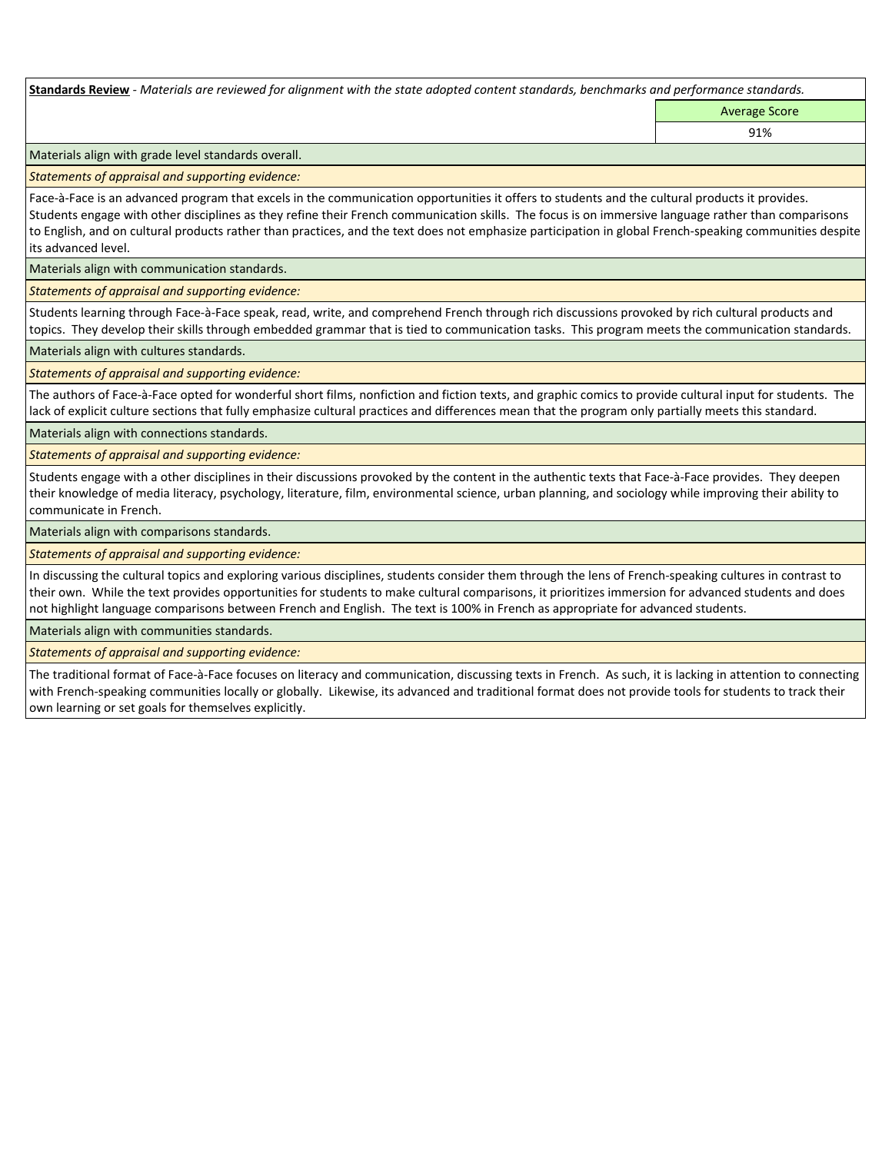**Standards Review** *- Materials are reviewed for alignment with the state adopted content standards, benchmarks and performance standards.*

Average Score 91%

Materials align with grade level standards overall.

*Statements of appraisal and supporting evidence:* 

Face-à-Face is an advanced program that excels in the communication opportunities it offers to students and the cultural products it provides. Students engage with other disciplines as they refine their French communication skills. The focus is on immersive language rather than comparisons to English, and on cultural products rather than practices, and the text does not emphasize participation in global French-speaking communities despite its advanced level.

Materials align with communication standards.

*Statements of appraisal and supporting evidence:* 

Students learning through Face-à-Face speak, read, write, and comprehend French through rich discussions provoked by rich cultural products and topics. They develop their skills through embedded grammar that is tied to communication tasks. This program meets the communication standards.

Materials align with cultures standards.

*Statements of appraisal and supporting evidence:* 

The authors of Face-à-Face opted for wonderful short films, nonfiction and fiction texts, and graphic comics to provide cultural input for students. The lack of explicit culture sections that fully emphasize cultural practices and differences mean that the program only partially meets this standard.

Materials align with connections standards.

*Statements of appraisal and supporting evidence:* 

Students engage with a other disciplines in their discussions provoked by the content in the authentic texts that Face-à-Face provides. They deepen their knowledge of media literacy, psychology, literature, film, environmental science, urban planning, and sociology while improving their ability to communicate in French.

Materials align with comparisons standards.

*Statements of appraisal and supporting evidence:* 

In discussing the cultural topics and exploring various disciplines, students consider them through the lens of French-speaking cultures in contrast to their own. While the text provides opportunities for students to make cultural comparisons, it prioritizes immersion for advanced students and does not highlight language comparisons between French and English. The text is 100% in French as appropriate for advanced students.

Materials align with communities standards.

*Statements of appraisal and supporting evidence:* 

The traditional format of Face-à-Face focuses on literacy and communication, discussing texts in French. As such, it is lacking in attention to connecting with French-speaking communities locally or globally. Likewise, its advanced and traditional format does not provide tools for students to track their own learning or set goals for themselves explicitly.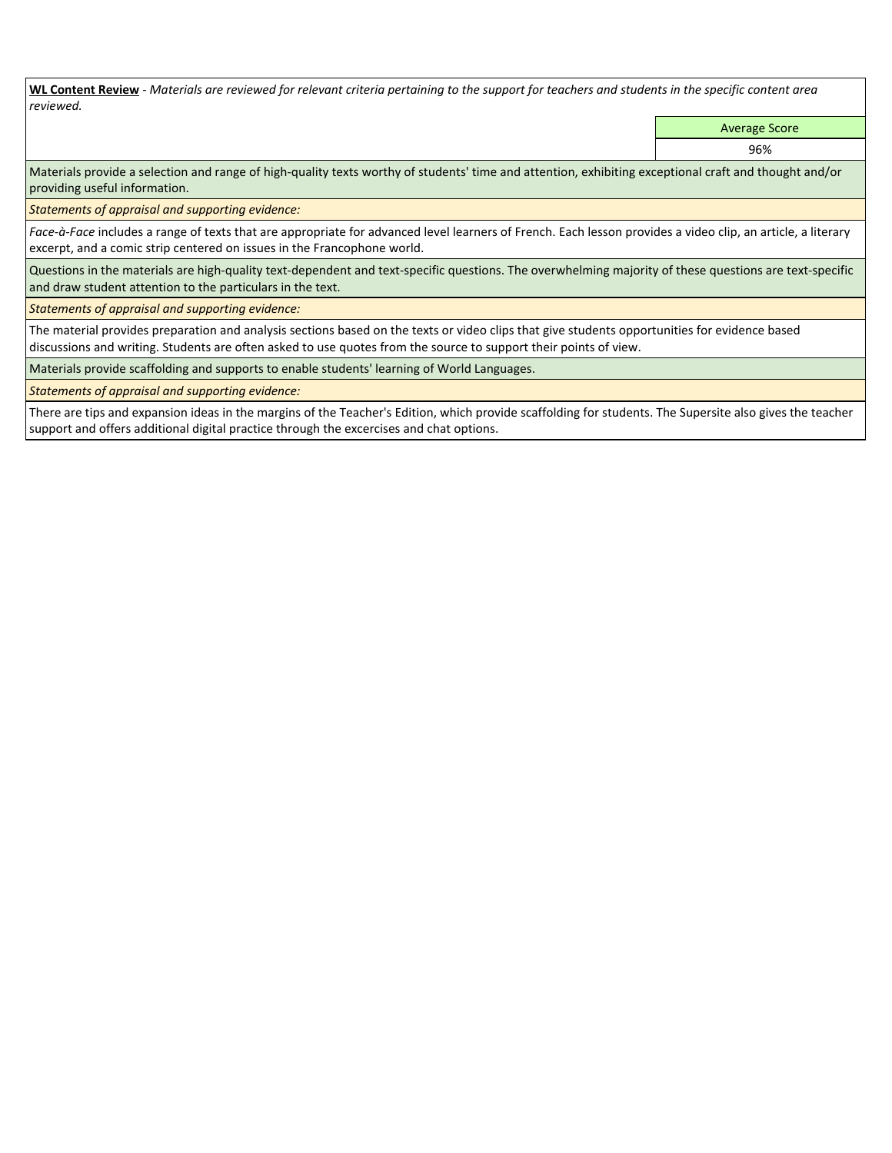**WL Content Review** *- Materials are reviewed for relevant criteria pertaining to the support for teachers and students in the specific content area reviewed.*

Average Score

96%

Materials provide a selection and range of high-quality texts worthy of students' time and attention, exhibiting exceptional craft and thought and/or providing useful information.

*Statements of appraisal and supporting evidence:* 

*Face-à-Face* includes a range of texts that are appropriate for advanced level learners of French. Each lesson provides a video clip, an article, a literary excerpt, and a comic strip centered on issues in the Francophone world.

Questions in the materials are high-quality text-dependent and text-specific questions. The overwhelming majority of these questions are text-specific and draw student attention to the particulars in the text.

*Statements of appraisal and supporting evidence:* 

The material provides preparation and analysis sections based on the texts or video clips that give students opportunities for evidence based discussions and writing. Students are often asked to use quotes from the source to support their points of view.

Materials provide scaffolding and supports to enable students' learning of World Languages.

*Statements of appraisal and supporting evidence:* 

There are tips and expansion ideas in the margins of the Teacher's Edition, which provide scaffolding for students. The Supersite also gives the teacher support and offers additional digital practice through the excercises and chat options.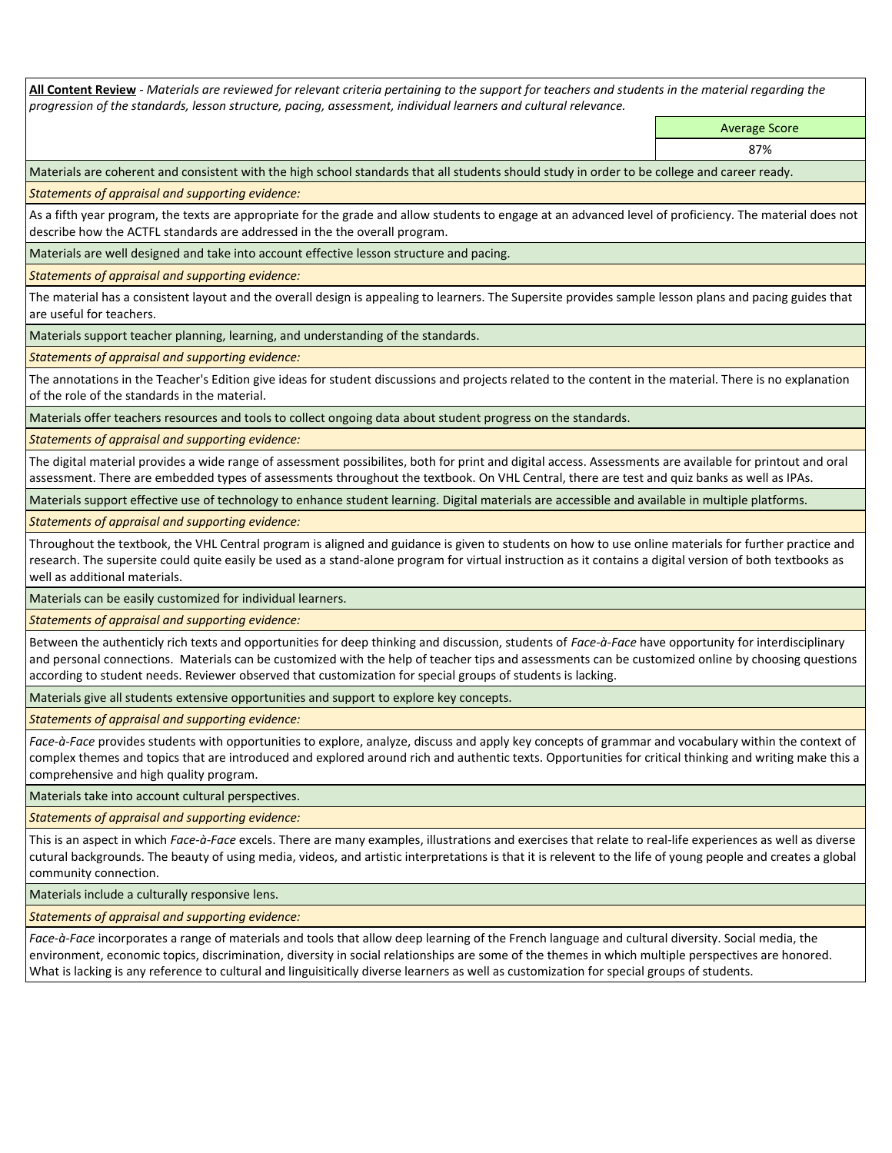**All Content Review** *- Materials are reviewed for relevant criteria pertaining to the support for teachers and students in the material regarding the progression of the standards, lesson structure, pacing, assessment, individual learners and cultural relevance.*

> Average Score 87%

Materials are coherent and consistent with the high school standards that all students should study in order to be college and career ready.

*Statements of appraisal and supporting evidence:*

As a fifth year program, the texts are appropriate for the grade and allow students to engage at an advanced level of proficiency. The material does not describe how the ACTFL standards are addressed in the the overall program.

Materials are well designed and take into account effective lesson structure and pacing.

*Statements of appraisal and supporting evidence:*

The material has a consistent layout and the overall design is appealing to learners. The Supersite provides sample lesson plans and pacing guides that are useful for teachers.

Materials support teacher planning, learning, and understanding of the standards.

*Statements of appraisal and supporting evidence:*

The annotations in the Teacher's Edition give ideas for student discussions and projects related to the content in the material. There is no explanation of the role of the standards in the material.

Materials offer teachers resources and tools to collect ongoing data about student progress on the standards.

*Statements of appraisal and supporting evidence:*

The digital material provides a wide range of assessment possibilites, both for print and digital access. Assessments are available for printout and oral assessment. There are embedded types of assessments throughout the textbook. On VHL Central, there are test and quiz banks as well as IPAs.

Materials support effective use of technology to enhance student learning. Digital materials are accessible and available in multiple platforms.

*Statements of appraisal and supporting evidence:*

Throughout the textbook, the VHL Central program is aligned and guidance is given to students on how to use online materials for further practice and research. The supersite could quite easily be used as a stand-alone program for virtual instruction as it contains a digital version of both textbooks as well as additional materials.

Materials can be easily customized for individual learners.

*Statements of appraisal and supporting evidence:* 

Between the authenticly rich texts and opportunities for deep thinking and discussion, students of *Face-à-Face* have opportunity for interdisciplinary and personal connections. Materials can be customized with the help of teacher tips and assessments can be customized online by choosing questions according to student needs. Reviewer observed that customization for special groups of students is lacking.

Materials give all students extensive opportunities and support to explore key concepts.

*Statements of appraisal and supporting evidence:*

*Face-à-Face* provides students with opportunities to explore, analyze, discuss and apply key concepts of grammar and vocabulary within the context of complex themes and topics that are introduced and explored around rich and authentic texts. Opportunities for critical thinking and writing make this a comprehensive and high quality program.

Materials take into account cultural perspectives.

*Statements of appraisal and supporting evidence:*

This is an aspect in which *Face-à-Face* excels. There are many examples, illustrations and exercises that relate to real-life experiences as well as diverse cutural backgrounds. The beauty of using media, videos, and artistic interpretations is that it is relevent to the life of young people and creates a global community connection.

Materials include a culturally responsive lens.

*Statements of appraisal and supporting evidence:*

*Face-à-Face* incorporates a range of materials and tools that allow deep learning of the French language and cultural diversity. Social media, the environment, economic topics, discrimination, diversity in social relationships are some of the themes in which multiple perspectives are honored. What is lacking is any reference to cultural and linguisitically diverse learners as well as customization for special groups of students.